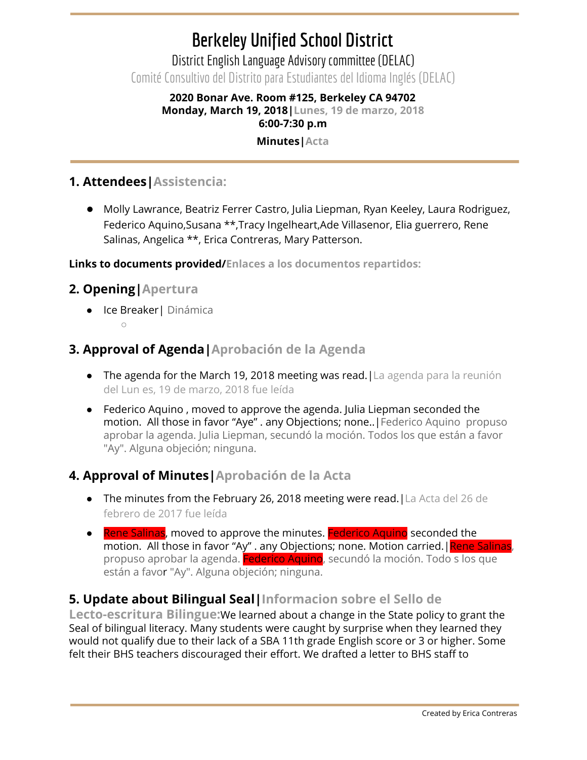# **Berkeley Unified School District**

District English Language Advisory committee (DELAC) Comité Consultivo del Distrito para Estudiantes del Idioma Inglés (DELAC)

## **2020 Bonar Ave. Room #125, Berkeley CA 94702 Monday, March 19, 2018|Lunes, 19 de marzo, 2018 6:00-7:30 p.m**

#### **Minutes|Acta**

# **1. Attendees|Assistencia:**

● Molly Lawrance, Beatriz Ferrer Castro, Julia Liepman, Ryan Keeley, Laura Rodriguez, Federico Aquino,Susana \*\*,Tracy Ingelheart,Ade Villasenor, Elia guerrero, Rene Salinas, Angelica \*\*, Erica Contreras, Mary Patterson.

**Links to documents provided/Enlaces a los documentos repartidos:**

## **2. Opening|Apertura**

- Ice Breaker| Dinámica  $\bigcap$ 
	-

# **3. Approval of Agenda|Aprobación de la Agenda**

- The agenda for the March 19, 2018 meeting was read. [La agenda para la reunión del Lun es, 19 de marzo, 2018 fue leída
- Federico Aquino , moved to approve the agenda. Julia Liepman seconded the motion. All those in favor "Aye" . any Objections; none..|Federico Aquino propuso aprobar la agenda. Julia Liepman, secundó la moción. Todos los que están a favor "Ay". Alguna objeción; ninguna.

# **4. Approval of Minutes|Aprobación de la Acta**

- The minutes from the February 26, 2018 meeting were read.|La Acta del 26 de febrero de 2017 fue leída
- **•** Rene Salinas, moved to approve the minutes. Federico Aquino seconded the motion. All those in favor "Ay" . any Objections; none. Motion carried. Rene Salinas, propuso aprobar la agenda. Federico Aquino, secundó la moción. Todo s los que están a favor "Ay". Alguna objeción; ninguna.

# **5. Update about Bilingual Seal|Informacion sobre el Sello de**

**Lecto-escritura Bilingue:**We learned about a change in the State policy to grant the Seal of bilingual literacy. Many students were caught by surprise when they learned they would not qualify due to their lack of a SBA 11th grade English score or 3 or higher. Some felt their BHS teachers discouraged their effort. We drafted a letter to BHS staff to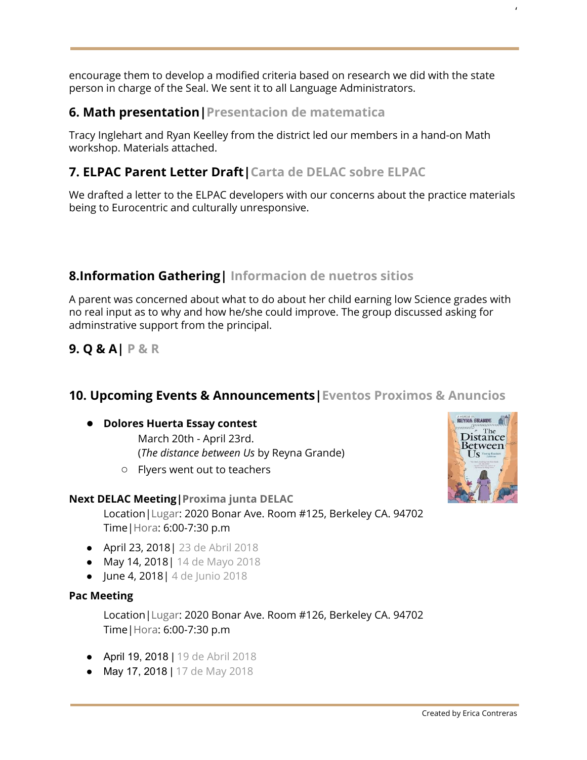encourage them to develop a modified criteria based on research we did with the state person in charge of the Seal. We sent it to all Language Administrators.

## **6. Math presentation|Presentacion de matematica**

Tracy Inglehart and Ryan Keelley from the district led our members in a hand-on Math workshop. Materials attached.

## **7. ELPAC Parent Letter Draft|Carta de DELAC sobre ELPAC**

We drafted a letter to the ELPAC developers with our concerns about the practice materials being to Eurocentric and culturally unresponsive.

# **8.Information Gathering| Informacion de nuetros sitios**

A parent was concerned about what to do about her child earning low Science grades with no real input as to why and how he/she could improve. The group discussed asking for adminstrative support from the principal.

**9. Q & A| P & R**

### **10. Upcoming Events & Announcements|Eventos Proximos & Anuncios**

#### ● **Dolores Huerta Essay contest**

March 20th - April 23rd. (*The distance between Us* by Reyna Grande)

○ Flyers went out to teachers

#### **Next DELAC Meeting|Proxima junta DELAC**

Location|Lugar: 2020 Bonar Ave. Room #125, Berkeley CA. 94702 Time|Hora: 6:00-7:30 p.m

- April 23, 2018| 23 de Abril 2018
- May 14, 2018| 14 de Mayo 2018
- June 4, 2018| 4 de Junio 2018

#### **Pac Meeting**

Location|Lugar: 2020 Bonar Ave. Room #126, Berkeley CA. 94702 Time|Hora: 6:00-7:30 p.m

- April 19, 2018 | 19 de Abril 2018
- May 17, 2018 | 17 de May 2018



'